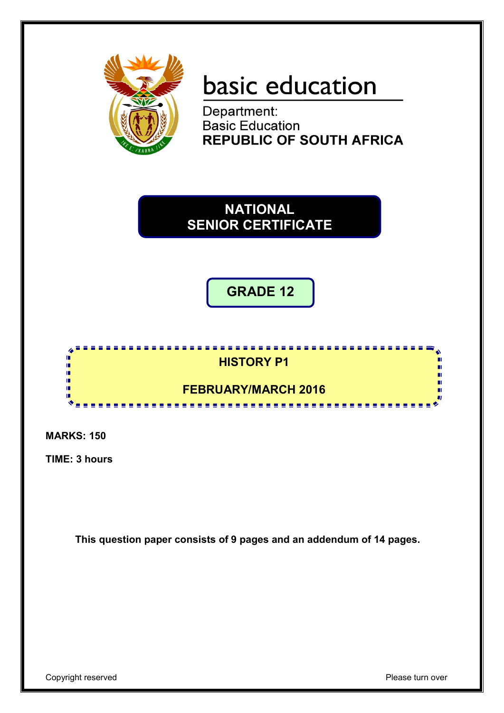

# basic education

Department: **Basic Education REPUBLIC OF SOUTH AFRICA** 

**NATIONAL SENIOR CERTIFICATE**

# **GRADE 12**



**MARKS: 150**

**TIME: 3 hours**

**This question paper consists of 9 pages and an addendum of 14 pages.**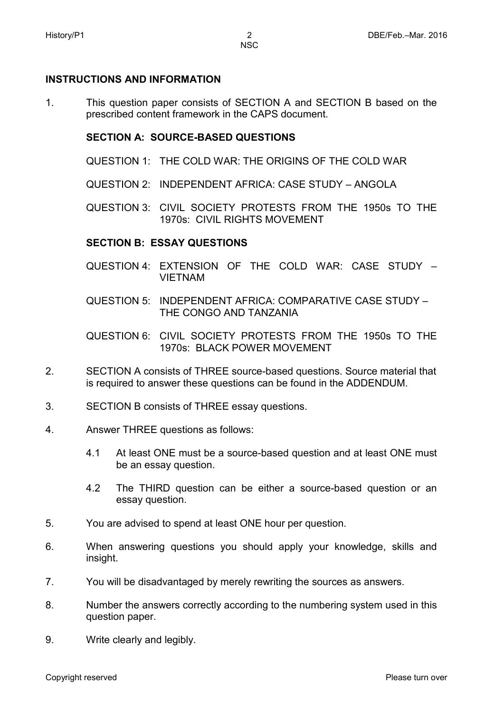#### **INSTRUCTIONS AND INFORMATION**

1. This question paper consists of SECTION A and SECTION B based on the prescribed content framework in the CAPS document.

#### **SECTION A: SOURCE-BASED QUESTIONS**

- QUESTION 1: THE COLD WAR: THE ORIGINS OF THE COLD WAR
- QUESTION 2: INDEPENDENT AFRICA: CASE STUDY ANGOLA

QUESTION 3: CIVIL SOCIETY PROTESTS FROM THE 1950s TO THE 1970s: CIVIL RIGHTS MOVEMENT

#### **SECTION B: ESSAY QUESTIONS**

- QUESTION 4: EXTENSION OF THE COLD WAR: CASE STUDY VIETNAM
- QUESTION 5: INDEPENDENT AFRICA: COMPARATIVE CASE STUDY THE CONGO AND TANZANIA

QUESTION 6: CIVIL SOCIETY PROTESTS FROM THE 1950s TO THE 1970s: BLACK POWER MOVEMENT

- $\mathcal{P}$ SECTION A consists of THREE source-based questions. Source material that is required to answer these questions can be found in the ADDENDUM.
- 3. SECTION B consists of THREE essay questions.
- 4. Answer THREE questions as follows:
	- 4.1 At least ONE must be a source-based question and at least ONE must be an essay question.
	- 4.2 The THIRD question can be either a source-based question or an essay question.
- 5. You are advised to spend at least ONE hour per question.
- 6. When answering questions you should apply your knowledge, skills and insight.
- 7. You will be disadvantaged by merely rewriting the sources as answers.
- 8. Number the answers correctly according to the numbering system used in this question paper.
- 9. Write clearly and legibly.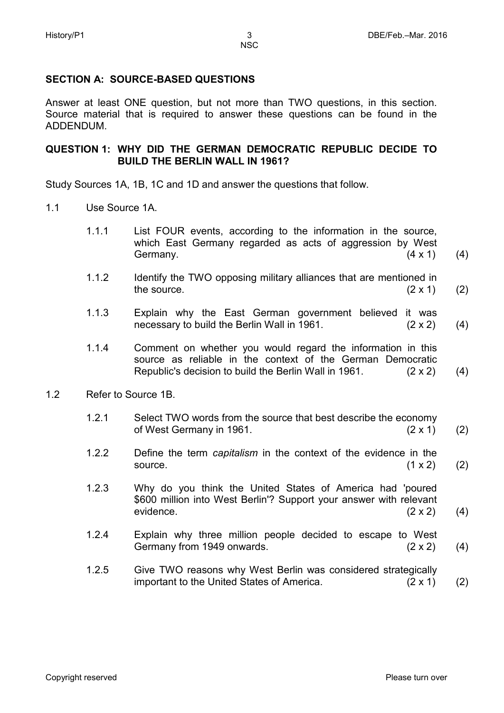## **SECTION A: SOURCE-BASED QUESTIONS**

Answer at least ONE question, but not more than TWO questions, in this section. Source material that is required to answer these questions can be found in the ADDENDUM.

#### **QUESTION 1: WHY DID THE GERMAN DEMOCRATIC REPUBLIC DECIDE TO BUILD THE BERLIN WALL IN 1961?**

Study Sources 1A, 1B, 1C and 1D and answer the questions that follow.

- 1.1 Use Source 1A.
	- 1.1.1 List FOUR events, according to the information in the source, which East Germany regarded as acts of aggression by West Germany.  $(4 \times 1)$ (4)
	- 1.1.2 Identify the TWO opposing military alliances that are mentioned in the source.  $(2 \times 1)$ (2)
	- 1.1.3 Explain why the East German government believed it was necessary to build the Berlin Wall in 1961. (2 x 2) (4)
	- 1.1.4 Comment on whether you would regard the information in this source as reliable in the context of the German Democratic Republic's decision to build the Berlin Wall in 1961. (2 x 2) (4)
- 1.2 Refer to Source 1B.
	- 1.2.1 Select TWO words from the source that best describe the economy of West Germany in 1961.  $(2 \times 1)$ (2)
	- 1.2.2 Define the term *capitalism* in the context of the evidence in the source.  $(1 \times 2)$ (2)
	- 1.2.3 Why do you think the United States of America had 'poured \$600 million into West Berlin'? Support your answer with relevant evidence. (2 x 2) (4)
	- 1.2.4 Explain why three million people decided to escape to West Germany from 1949 onwards. (2 x 2) (4)
	- 1.2.5 Give TWO reasons why West Berlin was considered strategically important to the United States of America. (2 x 1) (2)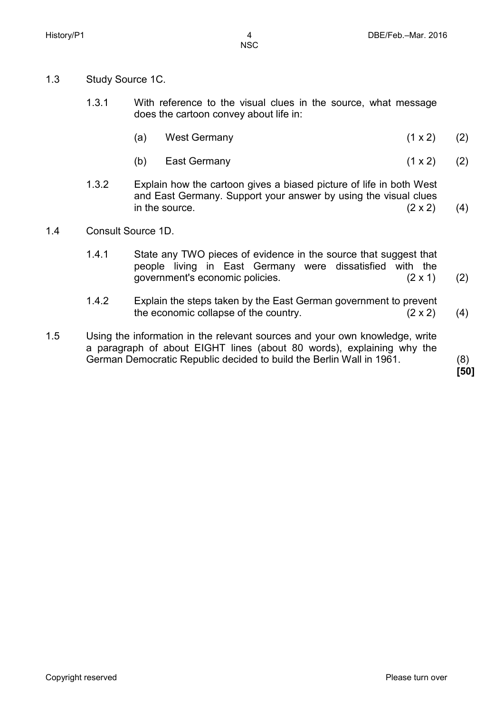- 1.3 Study Source 1C.
	- 1.3.1 With reference to the visual clues in the source, what message does the cartoon convey about life in:
		- (a) West Germany (1 x 2) (2)
		- (b) East Germany (1 x 2) (2)
	- 1.3.2 Explain how the cartoon gives a biased picture of life in both West and East Germany. Support your answer by using the visual clues in the source.  $(2 \times 2)$ (4)
- 1.4 Consult Source 1D.
	- 1.4.1 State any TWO pieces of evidence in the source that suggest that people living in East Germany were dissatisfied with the government's economic policies. (2 x 1) (2)
	- 1.4.2 Explain the steps taken by the East German government to prevent the economic collapse of the country.  $(2 \times 2)$ (4)
- 1.5 Using the information in the relevant sources and your own knowledge, write a paragraph of about EIGHT lines (about 80 words), explaining why the German Democratic Republic decided to build the Berlin Wall in 1961. (8)

**[50]**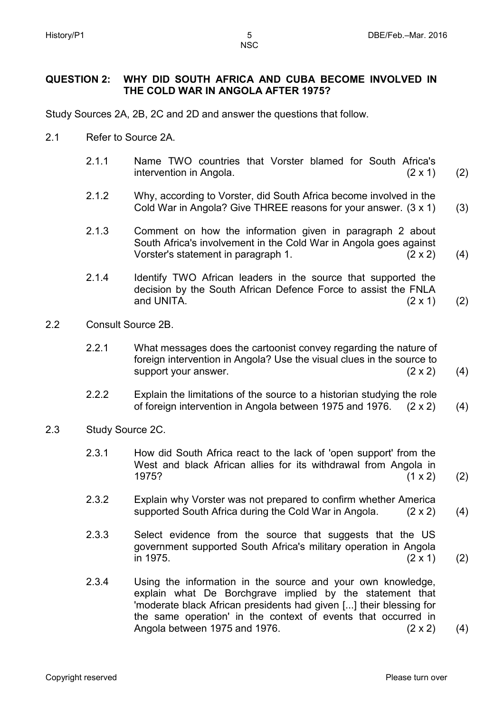**NSC** 

#### **QUESTION 2: WHY DID SOUTH AFRICA AND CUBA BECOME INVOLVED IN THE COLD WAR IN ANGOLA AFTER 1975?**

Study Sources 2A, 2B, 2C and 2D and answer the questions that follow.

- 2.1 Refer to Source 2A.
	- 2.1.1 Name TWO countries that Vorster blamed for South Africa's intervention in Angola. (2 x 1) (2)
	- 2.1.2 Why, according to Vorster, did South Africa become involved in the Cold War in Angola? Give THREE reasons for your answer. (3 x 1) (3)
	- 2.1.3 Comment on how the information given in paragraph 2 about South Africa's involvement in the Cold War in Angola goes against Vorster's statement in paragraph 1. (2 x 2) (4)
	- 2.1.4 Identify TWO African leaders in the source that supported the decision by the South African Defence Force to assist the FNLA and UNITA.  $(2 \times 1)$ (2)
- 2.2 Consult Source 2B.
	- 2.2.1 What messages does the cartoonist convey regarding the nature of foreign intervention in Angola? Use the visual clues in the source to support your answer. (2 x 2) (4)
	- 2.2.2 Explain the limitations of the source to a historian studying the role of foreign intervention in Angola between 1975 and 1976. (2 x 2) (4)
- 2.3 Study Source 2C.
	- 2.3.1 How did South Africa react to the lack of 'open support' from the West and black African allies for its withdrawal from Angola in 1975? (1 x 2) (2)
	- 2.3.2 Explain why Vorster was not prepared to confirm whether America supported South Africa during the Cold War in Angola. (2 x 2) (4)
	- 2.3.3 Select evidence from the source that suggests that the US government supported South Africa's military operation in Angola in 1975. (2 x 1) (2)
	- 2.3.4 Using the information in the source and your own knowledge, explain what De Borchgrave implied by the statement that 'moderate black African presidents had given [...] their blessing for the same operation' in the context of events that occurred in Angola between 1975 and 1976. (2 x 2) (4)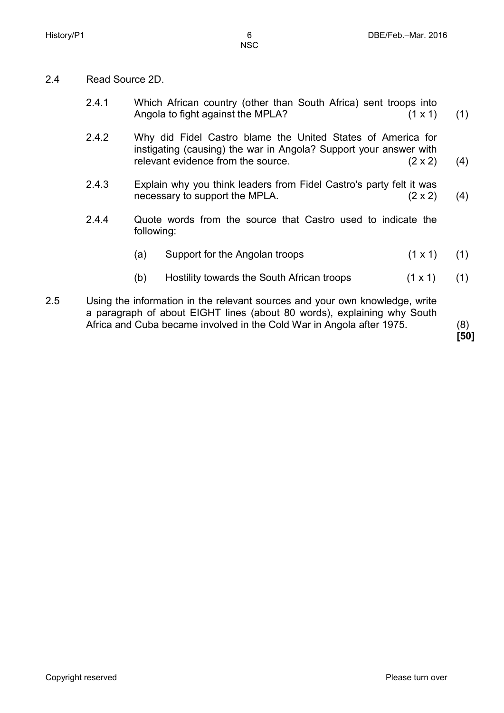- 2.4 Read Source 2D.
	- 2.4.1 Which African country (other than South Africa) sent troops into Angola to fight against the MPLA? (1 x 1) (1)
	- 2.42 Why did Fidel Castro blame the United States of America for instigating (causing) the war in Angola? Support your answer with relevant evidence from the source. (2 x 2) (4)
	- 2.4.3 Explain why you think leaders from Fidel Castro's party felt it was necessary to support the MPLA.  $(2 \times 2)$ (4)
	- 2.4.4 Quote words from the source that Castro used to indicate the following:
		- (a) Support for the Angolan troops (1 x 1) (1)
		- (b) Hostility towards the South African troops (1 x 1) (1)
- 2.5 Using the information in the relevant sources and your own knowledge, write a paragraph of about EIGHT lines (about 80 words), explaining why South Africa and Cuba became involved in the Cold War in Angola after 1975. (8)

**[50]**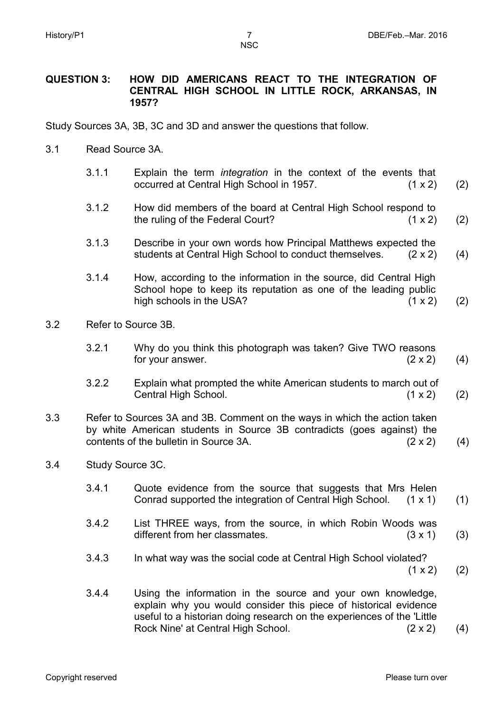#### **QUESTION 3: HOW DID AMERICANS REACT TO THE INTEGRATION OF CENTRAL HIGH SCHOOL IN LITTLE ROCK, ARKANSAS, IN 1957?**

Study Sources 3A, 3B, 3C and 3D and answer the questions that follow.

- 3.1 Read Source 3A.
	- 3.1.1 Explain the term *integration* in the context of the events that occurred at Central High School in 1957. (1 x 2) (2)
	- 3.1.2 How did members of the board at Central High School respond to the ruling of the Federal Court? (1 x 2) (2)
	- 3.1.3 Describe in your own words how Principal Matthews expected the students at Central High School to conduct themselves. (2 x 2) (4)
	- 3.1.4 How, according to the information in the source, did Central High School hope to keep its reputation as one of the leading public high schools in the USA? (1 x 2) (2)
- 3.2 Refer to Source 3B.
	- 3.2.1 Why do you think this photograph was taken? Give TWO reasons for your answer.  $(2 \times 2)$ (4)
	- 3.2.2 Explain what prompted the white American students to march out of Central High School. (1 x 2) (2)
- 3.3 Refer to Sources 3A and 3B. Comment on the ways in which the action taken by white American students in Source 3B contradicts (goes against) the contents of the bulletin in Source 3A.  $(2 \times 2)$  (4)
- 3.4 Study Source 3C.
	- 3.4.1 Quote evidence from the source that suggests that Mrs Helen Conrad supported the integration of Central High School. (1 x 1) (1)
	- 3.4.2 List THREE ways, from the source, in which Robin Woods was different from her classmates. (3 x 1) (3)
	- 3.4.3 In what way was the social code at Central High School violated?  $(1 x 2)$
	- 3.4.4 Using the information in the source and your own knowledge, explain why you would consider this piece of historical evidence useful to a historian doing research on the experiences of the 'Little Rock Nine' at Central High School. (2 x 2) (4)

(2)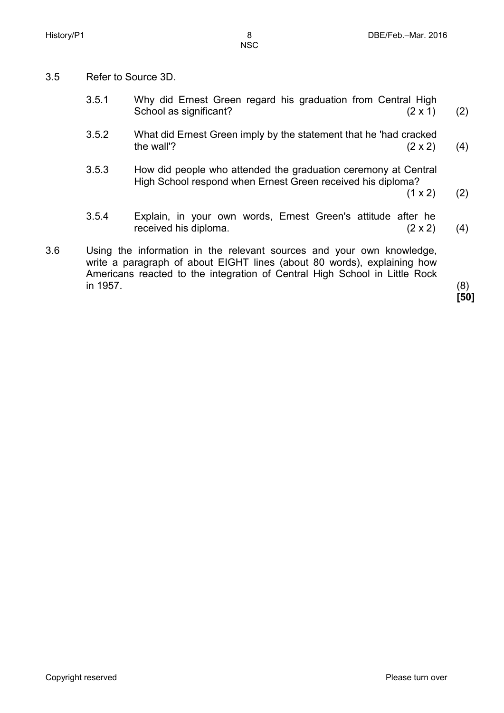- 3.5 Refer to Source 3D.
	- 3.5.1 Why did Ernest Green regard his graduation from Central High School as significant? (2 x 1) (2)
	- 3.5.2 What did Ernest Green imply by the statement that he 'had cracked the wall'?  $(2 \times 2)$ (4)
	- 3.5.3 How did people who attended the graduation ceremony at Central High School respond when Ernest Green received his diploma?
		- $(1 \times 2)$ (2)
	- 3.5.4 Explain, in your own words, Ernest Green's attitude after he received his diploma. (2 x 2) (4)
- 3.6 Using the information in the relevant sources and your own knowledge, write a paragraph of about EIGHT lines (about 80 words), explaining how Americans reacted to the integration of Central High School in Little Rock in 1957. (8)

**[50]**